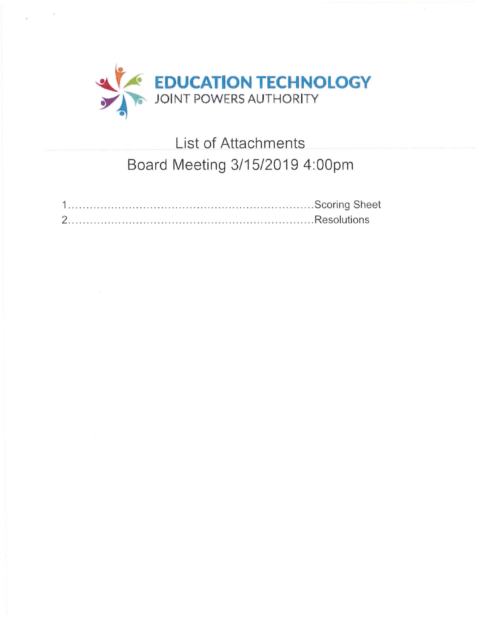

# List of Attachments Board Meeting 3/15/2019 4:00pm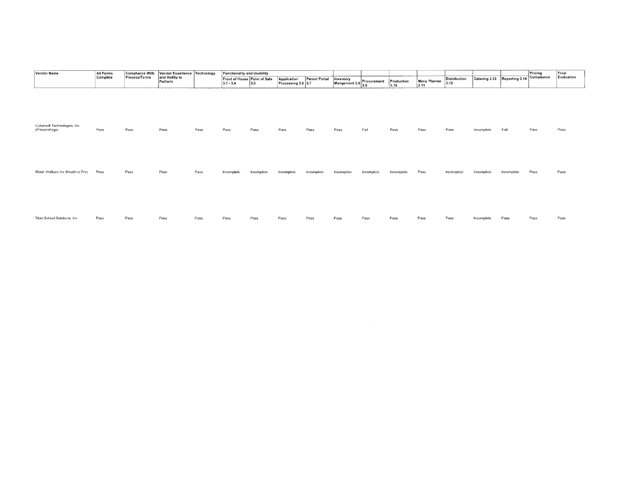| Vendor Name                                   | All Forms<br>Complete | Compliance With<br>Process/Terms | Vendor Experience Technology<br>and Ability to<br>Perform |      | <b>Functionality and Usability</b> |                                       |                                   |               |                                        |            |                    |                      |                      |                              | Pricing    | Final       |            |
|-----------------------------------------------|-----------------------|----------------------------------|-----------------------------------------------------------|------|------------------------------------|---------------------------------------|-----------------------------------|---------------|----------------------------------------|------------|--------------------|----------------------|----------------------|------------------------------|------------|-------------|------------|
|                                               |                       |                                  |                                                           |      | $3.1 - 3.4$                        | Front of House Point of Sale<br>$3.5$ | Application<br>Processing 3.6 3.7 | Parent Portal | Inventory<br>Mangement 3.8 Procurement |            | Production<br>3.10 | Menu Planner<br>3.11 | Distribution<br>3.12 | Catering 3.13 Reporting 3.14 |            | †Compliance | Evaluation |
|                                               |                       |                                  |                                                           |      |                                    |                                       |                                   |               |                                        |            |                    |                      |                      |                              |            |             |            |
| Cybersoft Technologies, Inc.<br>(PrimeroEdge) | Pass                  | Pass                             | Pass                                                      | Pass | Pass                               | Pass                                  | Pass                              | Pass          | Pass                                   | Fail       | Pass               | Pass                 | Pass                 | Incomplete                   | Fail       | Pass        | Pass       |
| Water Walkers inc (Health-e Pro)              | Pass                  | Pass                             | Pass                                                      | Pass | Incomplete                         | Incomplete                            | Incomplete                        | thcomplete    | Incomplete                             | Incomplete | Incomplete         | Pass                 | Incomplete           | Incomplete                   | Incomplete | Pass        | Pass       |
| Titan School Solutions, Inc.                  | Pass                  | Pass                             | Pass                                                      | Pass | Pass                               | Pass                                  | Pass                              | Pass          | Pass                                   | Pass       | Pass               | Pass                 | Pass                 | Incomplete                   | Pass       | Pass        | Pass       |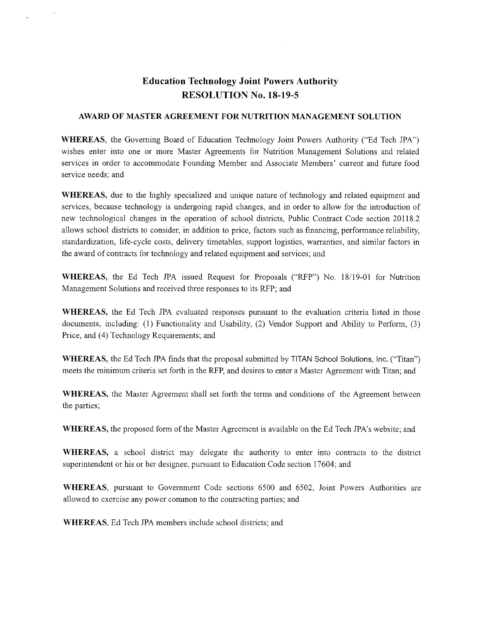## **Education Technology Joint Powers Authority RESOLUTION No. 18-19-5**

#### **AWARD OF MASTER AGREEMENT FOR NUTRITION MANAGEMENT SOLUTION**

**WHEREAS,** the Governing Board of Education Technology Joint Powers Authority ("Ed Tech JPA") wishes enter into one or more Master Agreements for Nutrition Management Solutions and related services in order to accommodate Founding Member and Associate Members' current and future food service needs; and

**WHEREAS,** due to the highly specialized and unique nature of technology and related equipment and services, because technology is undergoing rapid changes, and in order to allow for the introduction of new technological changes in the operation of school districts, Public Contract Code section 20118.2 allows school districts to consider, in addition to price, factors such as financing, performance reliability, standardization, life-cycle costs, delivery timetables, support logistics, warranties, and similar factors in the award of contracts for technology and related equipment and services; and

**WHEREAS,** the Ed Tech JPA issued Request for Proposals ("RFP") No. 18/19-01 for Nutrition Management Solutions and received three responses to its RFP; and

**WHEREAS,** the Ed Tech JPA evaluated responses pursuant to the evaluation criteria listed in those documents, including: (1) Functionality and Usability, (2) Vendor Support and Ability to Perform, (3) Price, and (4) Technology Requirements; and

**WHEREAS,** the Ed Tech JPA finds that the proposal submitted by TITAN School Solutions, Inc. ("Titan") meets the minimum criteria set forth in the RFP, and desires to enter a Master Agreement with Titan; and

**WHEREAS,** the Master Agreement shall set forth the terms and conditions of the Agreement between the parties;

**WHEREAS,** the proposed form of the Master Agreement is available on the Ed Tech JPA's website; and

**WHEREAS,** a school district may delegate the authority to enter into contracts to the district superintendent or his or her designee, pursuant to Education Code section 17604; and

**WHEREAS,** pursuant to Government Code sections 6500 and 6502, Joint Powers Authorities are allowed to exercise any power common to the contracting parties; and

**WHEREAS,** Ed Tech JPA members include school districts; and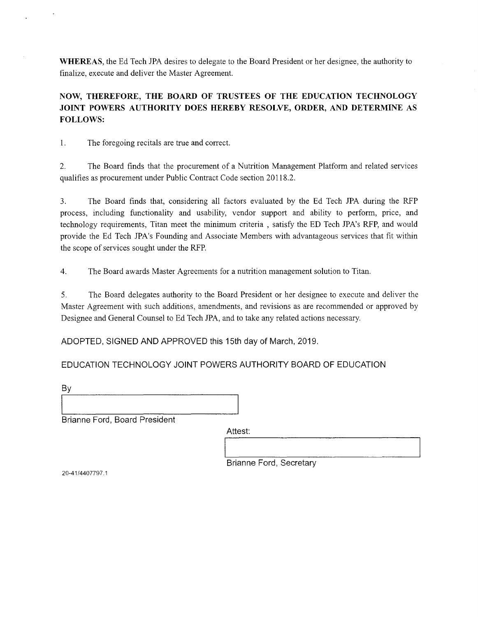**WHEREAS,** the Ed Tech JPA desires to delegate to the Board President or her designee, the authority to finalize, execute and deliver the Master Agreement.

**NOW, THEREFORE, THE BOARD OF TRUSTEES OF THE EDUCATION TECHNOLOGY JOINT POWERS AUTHORITY DOES HEREBY RESOLVE, ORDER, AND DETERMINE AS FOLLOWS:** 

1. The foregoing recitals are true and correct.

2. The Board finds that the procurement of a Nutrition Management Platform and related services qualifies as procurement under Public Contract Code section 20118.2.

3. The Board finds that, considering all factors evaluated by the Ed Tech JPA during the RFP process, including functionality and usability, vendor support and ability to perform, price, and technology requirements, Titan meet the minimum criteria , satisfy the ED Tech JPA's RFP, and would provide the Ed Tech JPA's Founding and Associate Members with advantageous services that fit within the scope of services sought under the RFP.

4. The Board awards Master Agreements for a nutrition management solution to Titan.

5. The Board delegates authority to the Board President or her designee to execute and deliver the Master Agreement with such additions, amendments, and revisions as are recommended or approved by Designee and General Counsel to Ed Tech JPA, and to take any related actions necessary.

ADOPTED, SIGNED AND APPROVED this 15th day of March, 2019.

EDUCATION TECHNOLOGY JOINT POWERS AUTHORITY BOARD OF EDUCATION

By

Brianne Ford, Board President

Attest:

Brianne Ford, Secretary

20-41 /4407797 .1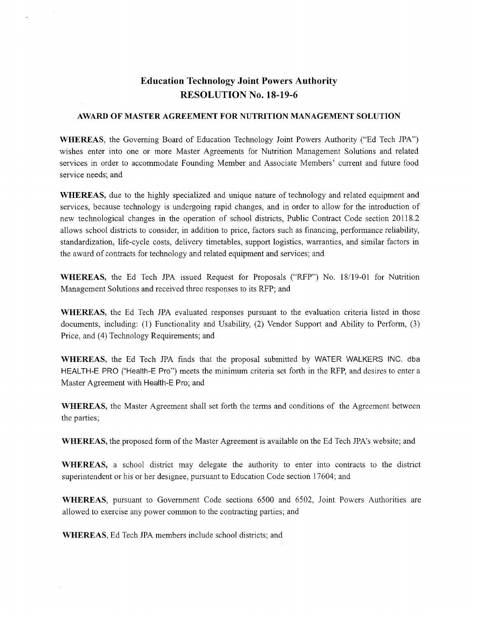## **Education Technology Joint Powers Authority RESOLUTION No. 18-19-6**

#### **AWARD OF MASTER AGREEMENT FOR NUTRITION MANAGEMENT SOLUTION**

**WHEREAS,** the Governing Board of Education Technology Joint Powers Authority ("Ed Tech JPA") wishes enter into one or more Master Agreements for Nutrition Management Solutions and related services in order to accommodate Founding Member and Associate Members' current and future food service needs; and

**WHEREAS,** due to the highly specialized and unique nature of technology and related equipment and services, because technology is undergoing rapid changes, and in order to allow for the introduction of new technological changes in the operation of school districts, Public Contract Code section 20118.2 allows school districts to consider, in addition to price, factors such as financing, performance reliability, standardization, life-cycle costs, delivery timetables, support logistics, warranties, and similar factors in the award of contracts for technology and related equipment and services; and

**WHEREAS,** the Ed Tech JPA issued Request for Proposals ("RFP") No. 18/19-01 for Nutrition Management Solutions and received three responses to its RFP; and

**WHEREAS,** the Ed Tech JPA evaluated responses pursuant to the evaluation criteria listed in those documents, including: (1) Functionality and Usability, (2) Vendor Support and Ability to Perform, (3) Price, and (4) Technology Requirements; and

**WHEREAS,** the Ed Tech JPA finds that the proposal submitted by WATER WALKERS INC. dba HEALTH-E PRO ("Health-E Pro") meets the minimum criteria set forth in the RFP, and desires to enter a Master Agreement with Health-E Pro; and

**WHEREAS,** the Master Agreement shall set forth the terms and conditions of the Agreement between the parties;

**WHEREAS,** the proposed form of the Master Agreement is available on the Ed Tech JPA's website; and

**WHEREAS,** a school district may delegate the authority to enter into contracts to the district superintendent or his or her designee, pursuant to Education Code section 17604; and

**WHEREAS,** pursuant to Government Code sections 6500 and 6502, Joint Powers Authorities are allowed to exercise any power common to the contracting parties; and

**WHEREAS,** Ed Tech JPA members include school districts; and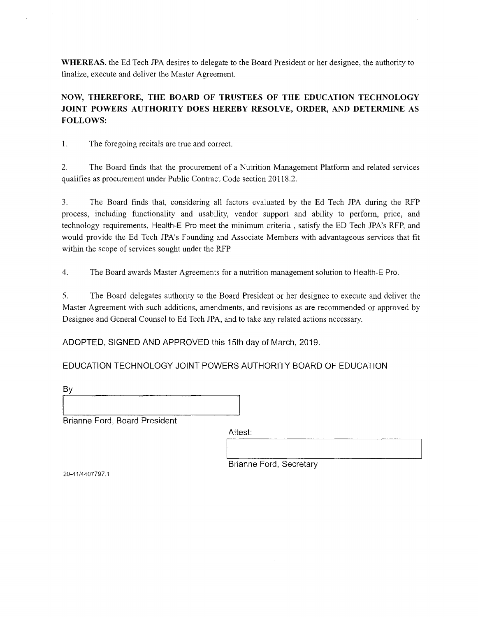**WHEREAS,** the Ed Tech JPA desires to delegate to the Board President or her designee, the authority to finalize, execute and deliver the Master Agreement.

**NOW, THEREFORE, THE BOARD OF TRUSTEES OF THE EDUCATION TECHNOLOGY JOINT POWERS AUTHORITY DOES HEREBY RESOLVE, ORDER, AND DETERMINE AS FOLLOWS:** 

1. The foregoing recitals are true and correct.

2. The Board finds that the procurement of a Nutrition Management Platform and related services qualifies as procurement under Public Contract Code section 20118.2.

3. The Board finds that, considering all factors evaluated by the Ed Tech JPA during the RFP process, including functionality and usability, vendor support and ability to perform, price, and technology requirements, Health-E Pro meet the minimum criteria , satisfy the ED Tech JPA's RFP, and would provide the Ed Tech JPA's Founding and Associate Members with advantageous services that fit within the scope of services sought under the RFP.

4. The Board awards Master Agreements for a nutrition management solution to Health-E Pro.

5. The Board delegates authority to the Board President or her designee to execute and deliver the Master Agreement with such additions, amendments, and revisions as are recommended or approved by Designee and General Counsel to Ed Tech JPA, and to take any related actions necessary.

ADOPTED, SIGNED AND APPROVED this 15th day of March, 2019.

EDUCATION TECHNOLOGY JOINT POWERS AUTHORITY BOARD OF EDUCATION

By

Brianne Ford, Board President

Attest:

Brianne Ford, Secretary

20-41/4407797.1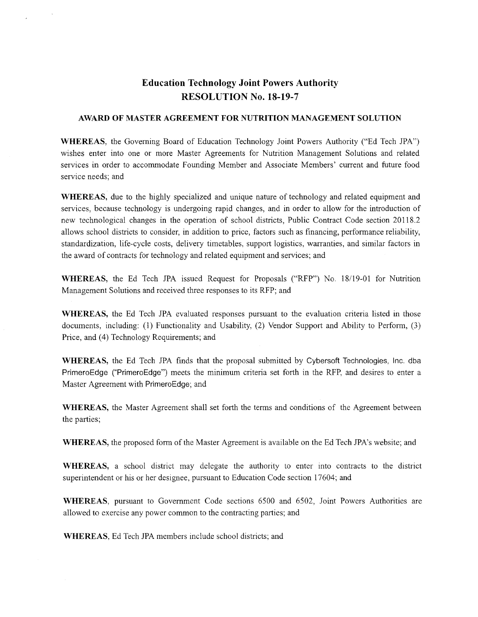### **Education Technology Joint Powers Authority RESOLUTION No. 18-19-7**

#### **AWARD OF MASTER AGREEMENT FOR NUTRITION MANAGEMENT SOLUTION**

**WHEREAS,** the Governing Board of Education Technology Joint Powers Authority ("Ed Tech JPA") wishes enter into one or more Master Agreements for Nutrition Management Solutions and related services in order to accommodate Founding Member and Associate Members' current and future food service needs; and

**WHEREAS,** due to the highly specialized and unique nature of technology and related equipment and services, because technology is undergoing rapid changes, and in order to allow for the introduction of new technological changes in the operation of school districts, Public Contract Code section 20118.2 allows school districts to consider, in addition to price, factors such as financing, performance reliability, standardization, life-cycle costs, delivery timetables, support logistics, warranties, and similar factors in the award of contracts for technology and related equipment and services; and

WHEREAS, the Ed Tech JPA issued Request for Proposals ("RFP") No. 18/19-01 for Nutrition Management Solutions and received three responses to its RFP; and

**WHEREAS,** the Ed Tech JPA evaluated responses pursuant to the evaluation criteria listed in those documents, including: (1) Functionality and Usability, (2) Vendor Support and Ability to Perform, (3) Price, and (4) Technology Requirements; and

**WHEREAS,** the Ed Tech JPA finds that the proposal submitted by Cybersoft Technologies, Inc. dba PrimeroEdge ("PrimeroEdge") meets the minimum criteria set forth in the RFP, and desires to enter a Master Agreement with PrimeroEdge; and

**WHEREAS,** the Master Agreement shall set forth the terms and conditions of the Agreement between the parties;

**WHEREAS,** the proposed form of the Master Agreement is available on the Ed Tech JPA's website; and

**WHEREAS,** a school district may delegate the authority to enter into contracts to the district superintendent or his or her designee, pursuant to Education Code section 17604; and

**WHEREAS,** pursuant to Government Code sections 6500 and 6502, Joint Powers Authorities are allowed to exercise any power common to the contracting parties; and

**WHEREAS,** Ed Tech JPA members include school districts; and